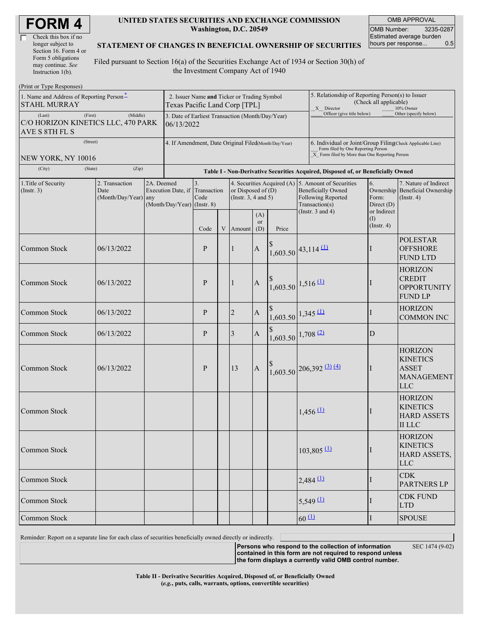| <b>FORM4</b> |  |
|--------------|--|
|--------------|--|

| Check this box if no  |
|-----------------------|
| longer subject to     |
| Section 16. Form 4 or |
| Form 5 obligations    |
| may continue. See     |
| Instruction $1(b)$ .  |

#### **UNITED STATES SECURITIES AND EXCHANGE COMMISSION Washington, D.C. 20549**

OMB APPROVAL OMB Number: 3235-0287 Estimated average burden hours per response... 0.5

#### **STATEMENT OF CHANGES IN BENEFICIAL OWNERSHIP OF SECURITIES**

Filed pursuant to Section 16(a) of the Securities Exchange Act of 1934 or Section 30(h) of the Investment Company Act of 1940

| (Print or Type Responses)                                                 |                                                |                                                                                              |                                             |                                                                               |  |                                                                           |                         |                                                                                                                                                    |                                                                                                                       |                            |                                          |                                                                                      |
|---------------------------------------------------------------------------|------------------------------------------------|----------------------------------------------------------------------------------------------|---------------------------------------------|-------------------------------------------------------------------------------|--|---------------------------------------------------------------------------|-------------------------|----------------------------------------------------------------------------------------------------------------------------------------------------|-----------------------------------------------------------------------------------------------------------------------|----------------------------|------------------------------------------|--------------------------------------------------------------------------------------|
| 1. Name and Address of Reporting Person-<br><b>STAHL MURRAY</b>           |                                                | Texas Pacific Land Corp [TPL]                                                                | 2. Issuer Name and Ticker or Trading Symbol |                                                                               |  |                                                                           |                         |                                                                                                                                                    | 5. Relationship of Reporting Person(s) to Issuer<br>(Check all applicable)<br>X Director<br>10% Owner                 |                            |                                          |                                                                                      |
| (First)<br>(Last)<br>C/O HORIZON KINETICS LLC, 470 PARK<br>AVE S 8TH FL S | (Middle)                                       | Officer (give title below)<br>3. Date of Earliest Transaction (Month/Day/Year)<br>06/13/2022 |                                             |                                                                               |  |                                                                           |                         |                                                                                                                                                    |                                                                                                                       | Other (specify below)      |                                          |                                                                                      |
| (Street)<br>NEW YORK, NY 10016                                            |                                                | 4. If Amendment, Date Original Filed(Month/Day/Year)                                         |                                             |                                                                               |  |                                                                           |                         | 6. Individual or Joint/Group Filing(Check Applicable Line)<br>Form filed by One Reporting Person<br>X Form filed by More than One Reporting Person |                                                                                                                       |                            |                                          |                                                                                      |
| (City)<br>(State)                                                         |                                                | Table I - Non-Derivative Securities Acquired, Disposed of, or Beneficially Owned             |                                             |                                                                               |  |                                                                           |                         |                                                                                                                                                    |                                                                                                                       |                            |                                          |                                                                                      |
| 1. Title of Security<br>$($ Instr. 3 $)$                                  | 2. Transaction<br>Date<br>(Month/Day/Year) any | 2A. Deemed                                                                                   |                                             | 3.<br>Execution Date, if Transaction<br>Code<br>$(Month/Day/Year)$ (Instr. 8) |  | 4. Securities Acquired (A)<br>or Disposed of $(D)$<br>(Instr. 3, 4 and 5) |                         |                                                                                                                                                    | 5. Amount of Securities<br><b>Beneficially Owned</b><br>Following Reported<br>Transaction(s)<br>(Instr. $3$ and $4$ ) |                            | 6.<br>Form:<br>Direct (D)<br>or Indirect | 7. Nature of Indirect<br>Ownership Beneficial Ownership<br>$($ Instr. 4 $)$          |
|                                                                           |                                                |                                                                                              |                                             | Code                                                                          |  | V Amount                                                                  | (A)<br><b>or</b><br>(D) | Price                                                                                                                                              |                                                                                                                       |                            | (I)<br>$($ Instr. 4 $)$                  |                                                                                      |
| Common Stock                                                              | 06/13/2022                                     |                                                                                              | P                                           |                                                                               |  | $\mathbf{1}$                                                              | $\mathbf A$             | $1,603.50$ 43,114 (1)                                                                                                                              |                                                                                                                       |                            | Ш                                        | <b>POLESTAR</b><br><b>OFFSHORE</b><br><b>FUND LTD</b>                                |
| Common Stock                                                              | 06/13/2022                                     |                                                                                              |                                             | P                                                                             |  | 1                                                                         | $\mathbf A$             | $\int_{1,603.50}^{9}$ 1,516 (1)                                                                                                                    |                                                                                                                       |                            |                                          | <b>HORIZON</b><br><b>CREDIT</b><br><b>OPPORTUNITY</b><br><b>FUND LP</b>              |
| Common Stock                                                              | 06/13/2022                                     |                                                                                              |                                             | P                                                                             |  | $\overline{2}$                                                            | $\mathbf{A}$            | $\left.\frac{\$}{1,603.50}\right 1,345 \frac{(1)}{1}$                                                                                              |                                                                                                                       |                            | T                                        | <b>HORIZON</b><br><b>COMMON INC</b>                                                  |
| Common Stock                                                              | 06/13/2022                                     |                                                                                              |                                             | P                                                                             |  | 3                                                                         | $\mathbf A$             | $1,603.50$ 1,708 (2)                                                                                                                               |                                                                                                                       |                            | D                                        |                                                                                      |
| Common Stock                                                              | 06/13/2022                                     |                                                                                              |                                             | P                                                                             |  | 13                                                                        | $\mathbf{A}$            |                                                                                                                                                    |                                                                                                                       | $1,603.50$ 206,392 (3) (4) | Ш                                        | <b>HORIZON</b><br><b>KINETICS</b><br><b>ASSET</b><br><b>MANAGEMENT</b><br><b>LLC</b> |
| Common Stock                                                              |                                                |                                                                                              |                                             |                                                                               |  |                                                                           |                         |                                                                                                                                                    |                                                                                                                       | $1,456 \, 11$              |                                          | <b>HORIZON</b><br><b>KINETICS</b><br><b>HARD ASSETS</b><br><b>II</b> LLC             |
| Common Stock                                                              |                                                |                                                                                              |                                             |                                                                               |  |                                                                           |                         |                                                                                                                                                    |                                                                                                                       | $103,805$ <sup>(1)</sup>   |                                          | <b>HORIZON</b><br><b>KINETICS</b><br>HARD ASSETS,<br><b>LLC</b>                      |
| Common Stock                                                              |                                                |                                                                                              |                                             |                                                                               |  |                                                                           |                         |                                                                                                                                                    |                                                                                                                       | $2,484$ <sup>(1)</sup>     | I                                        | <b>CDK</b><br><b>PARTNERS LP</b>                                                     |
| Common Stock                                                              |                                                |                                                                                              |                                             |                                                                               |  |                                                                           |                         |                                                                                                                                                    |                                                                                                                       | $5,549 \, 11$              | $\perp$                                  | <b>CDK FUND</b><br><b>LTD</b>                                                        |
| Common Stock                                                              |                                                |                                                                                              |                                             |                                                                               |  |                                                                           |                         |                                                                                                                                                    | $60 \Omega$                                                                                                           |                            | I                                        | <b>SPOUSE</b>                                                                        |

Reminder: Report on a separate line for each class of securities beneficially owned directly or indirectly.

**Persons who respond to the collection of information contained in this form are not required to respond unless** SEC 1474 (9-02)

**the form displays a currently valid OMB control number.**

**Table II - Derivative Securities Acquired, Disposed of, or Beneficially Owned (***e.g.***, puts, calls, warrants, options, convertible securities)**